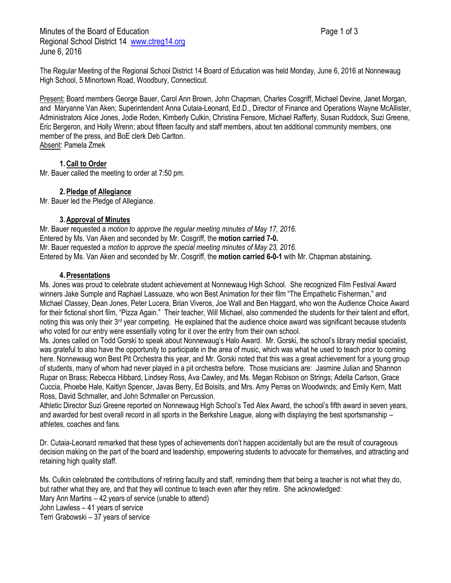The Regular Meeting of the Regional School District 14 Board of Education was held Monday, June 6, 2016 at Nonnewaug High School, 5 Minortown Road, Woodbury, Connecticut.

Present: Board members George Bauer, Carol Ann Brown, John Chapman, Charles Cosgriff, Michael Devine, Janet Morgan, and Maryanne Van Aken; Superintendent Anna Cutaia-Leonard, Ed.D., Director of Finance and Operations Wayne McAllister, Administrators Alice Jones, Jodie Roden, Kimberly Culkin, Christina Fensore, Michael Rafferty, Susan Ruddock, Suzi Greene, Eric Bergeron, and Holly Wrenn; about fifteen faculty and staff members, about ten additional community members, one member of the press, and BoE clerk Deb Carlton. Absent: Pamela Zmek

# **1.Call to Order**

Mr. Bauer called the meeting to order at 7:50 pm.

# **2.Pledge of Allegiance**

Mr. Bauer led the Pledge of Allegiance.

### **3.Approval of Minutes**

Mr. Bauer requested a *motion to approve the regular meeting minutes of May 17, 2016.* Entered by Ms. Van Aken and seconded by Mr. Cosgriff, the **motion carried 7-0.** Mr. Bauer requested a *motion to approve the special meeting minutes of May 23, 2016.*  Entered by Ms. Van Aken and seconded by Mr. Cosgriff, the **motion carried 6-0-1** with Mr. Chapman abstaining**.**

### **4.Presentations**

Ms. Jones was proud to celebrate student achievement at Nonnewaug High School. She recognized Film Festival Award winners Jake Sumple and Raphael Lassuaze, who won Best Animation for their film "The Empathetic Fisherman," and Michael Classey, Dean Jones, Peter Lucera, Brian Viveros, Joe Wall and Ben Haggard, who won the Audience Choice Award for their fictional short film, "Pizza Again." Their teacher, Will Michael, also commended the students for their talent and effort, noting this was only their  $3<sup>rd</sup>$  year competing. He explained that the audience choice award was significant because students who voted for our entry were essentially voting for it over the entry from their own school.

Ms. Jones called on Todd Gorski to speak about Nonnewaug's Halo Award. Mr. Gorski, the school's library medial specialist, was grateful to also have the opportunity to participate in the area of music, which was what he used to teach prior to coming here. Nonnewaug won Best Pit Orchestra this year, and Mr. Gorski noted that this was a great achievement for a young group of students, many of whom had never played in a pit orchestra before. Those musicians are: Jasmine Julian and Shannon Rupar on Brass; Rebecca Hibbard, Lindsey Ross, Ava Cawley, and Ms. Megan Robison on Strings; Adella Carlson, Grace Cuccia, Phoebe Hale, Kaitlyn Spencer, Javas Berry, Ed Boisits, and Mrs. Amy Perras on Woodwinds; and Emily Kern, Matt Ross, David Schmaller, and John Schmaller on Percussion.

Athletic Director Suzi Greene reported on Nonnewaug High School's Ted Alex Award, the school's fifth award in seven years, and awarded for best overall record in all sports in the Berkshire League, along with displaying the best sportsmanship – athletes, coaches and fans.

Dr. Cutaia-Leonard remarked that these types of achievements don't happen accidentally but are the result of courageous decision making on the part of the board and leadership, empowering students to advocate for themselves, and attracting and retaining high quality staff.

Ms. Culkin celebrated the contributions of retiring faculty and staff, reminding them that being a teacher is not what they do, but rather what they are, and that they will continue to teach even after they retire. She acknowledged: Mary Ann Martins – 42 years of service (unable to attend) John Lawless – 41 years of service Terri Grabowski – 37 years of service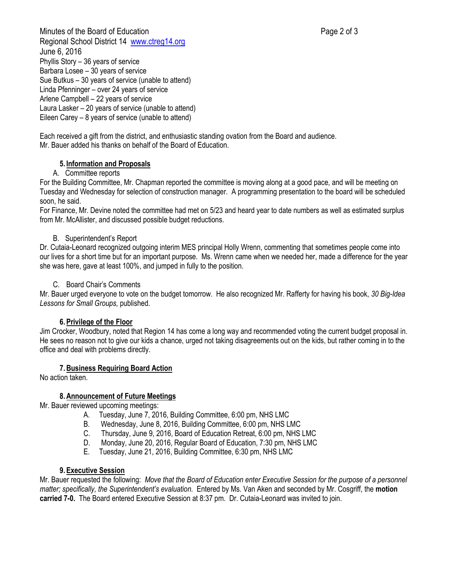Minutes of the Board of Education **Page 2 of 3** and 2 of 3 Regional School District 14 [www.ctreg14.org](http://www.ctreg14.org/) June 6, 2016 Phyllis Story – 36 years of service Barbara Losee – 30 years of service Sue Butkus – 30 years of service (unable to attend) Linda Pfenninger – over 24 years of service Arlene Campbell – 22 years of service Laura Lasker – 20 years of service (unable to attend) Eileen Carey – 8 years of service (unable to attend)

Each received a gift from the district, and enthusiastic standing ovation from the Board and audience. Mr. Bauer added his thanks on behalf of the Board of Education.

# **5. Information and Proposals**

### A. Committee reports

For the Building Committee, Mr. Chapman reported the committee is moving along at a good pace, and will be meeting on Tuesday and Wednesday for selection of construction manager. A programming presentation to the board will be scheduled soon, he said.

For Finance, Mr. Devine noted the committee had met on 5/23 and heard year to date numbers as well as estimated surplus from Mr. McAllister, and discussed possible budget reductions.

### B. Superintendent's Report

Dr. Cutaia-Leonard recognized outgoing interim MES principal Holly Wrenn, commenting that sometimes people come into our lives for a short time but for an important purpose. Ms. Wrenn came when we needed her, made a difference for the year she was here, gave at least 100%, and jumped in fully to the position.

### C. Board Chair's Comments

Mr. Bauer urged everyone to vote on the budget tomorrow. He also recognized Mr. Rafferty for having his book, *30 Big-Idea Lessons for Small Groups,* published.

### **6.Privilege of the Floor**

Jim Crocker, Woodbury, noted that Region 14 has come a long way and recommended voting the current budget proposal in. He sees no reason not to give our kids a chance, urged not taking disagreements out on the kids, but rather coming in to the office and deal with problems directly.

### **7.Business Requiring Board Action**

No action taken.

### **8.Announcement of Future Meetings**

Mr. Bauer reviewed upcoming meetings:

- A. Tuesday, June 7, 2016, Building Committee, 6:00 pm, NHS LMC
- B. Wednesday, June 8, 2016, Building Committee, 6:00 pm, NHS LMC
- C. Thursday, June 9, 2016, Board of Education Retreat, 6:00 pm, NHS LMC
- D. Monday, June 20, 2016, Regular Board of Education, 7:30 pm, NHS LMC
- E. Tuesday, June 21, 2016, Building Committee, 6:30 pm, NHS LMC

### **9.Executive Session**

Mr. Bauer requested the following: *Move that the Board of Education enter Executive Session for the purpose of a personnel matter; specifically, the Superintendent's evaluation.* Entered by Ms. Van Aken and seconded by Mr. Cosgriff, the **motion carried 7-0.** The Board entered Executive Session at 8:37 pm. Dr. Cutaia-Leonard was invited to join.